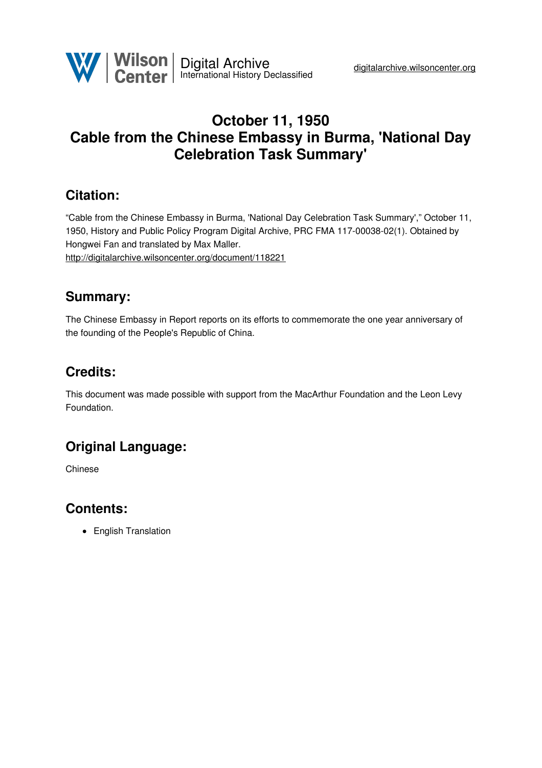

## **October 11, 1950 Cable from the Chinese Embassy in Burma, 'National Day Celebration Task Summary'**

## **Citation:**

"Cable from the Chinese Embassy in Burma, 'National Day Celebration Task Summary'," October 11, 1950, History and Public Policy Program Digital Archive, PRC FMA 117-00038-02(1). Obtained by Hongwei Fan and translated by Max Maller. <http://digitalarchive.wilsoncenter.org/document/118221>

## **Summary:**

The Chinese Embassy in Report reports on its efforts to commemorate the one year anniversary of the founding of the People's Republic of China.

# **Credits:**

This document was made possible with support from the MacArthur Foundation and the Leon Levy Foundation.

## **Original Language:**

Chinese

### **Contents:**

• English Translation